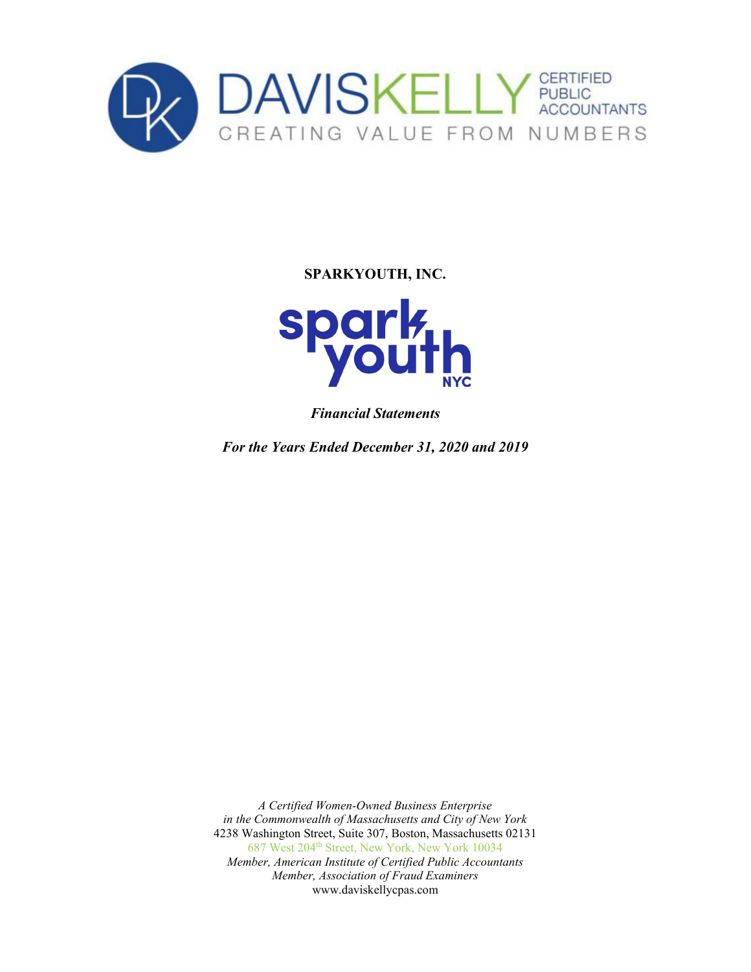



*Financial Statements*

*For the Years Ended December 31, 2020 and 2019*

*A Certified Women-Owned Business Enterprise in the Commonwealth of Massachusetts and City of New York* 4238 Washington Street, Suite 307, Boston, Massachusetts 02131 687 West 204<sup>th</sup> Street, New York, New York 10034 *Member, American Institute of Certified Public Accountants Member, Association of Fraud Examiners*  www.daviskellycpas.com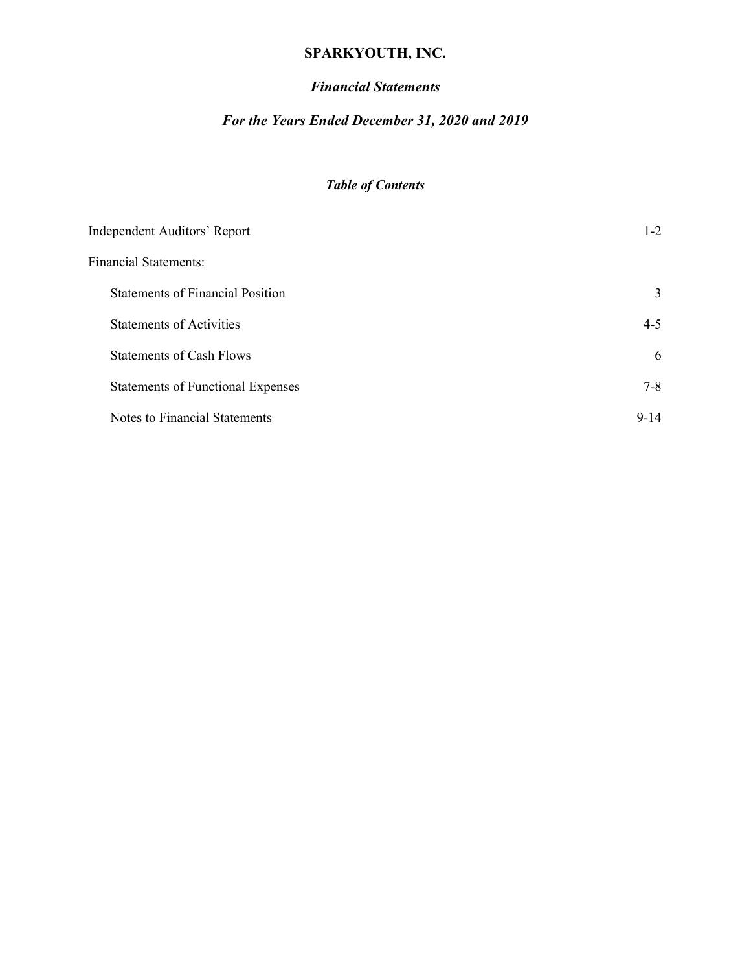# *Financial Statements*

# *For the Years Ended December 31, 2020 and 2019*

# *Table of Contents*

| <b>Independent Auditors' Report</b>      | $1 - 2$  |
|------------------------------------------|----------|
| <b>Financial Statements:</b>             |          |
| <b>Statements of Financial Position</b>  | 3        |
| <b>Statements of Activities</b>          | $4 - 5$  |
| <b>Statements of Cash Flows</b>          | 6        |
| <b>Statements of Functional Expenses</b> | $7 - 8$  |
| Notes to Financial Statements            | $9 - 14$ |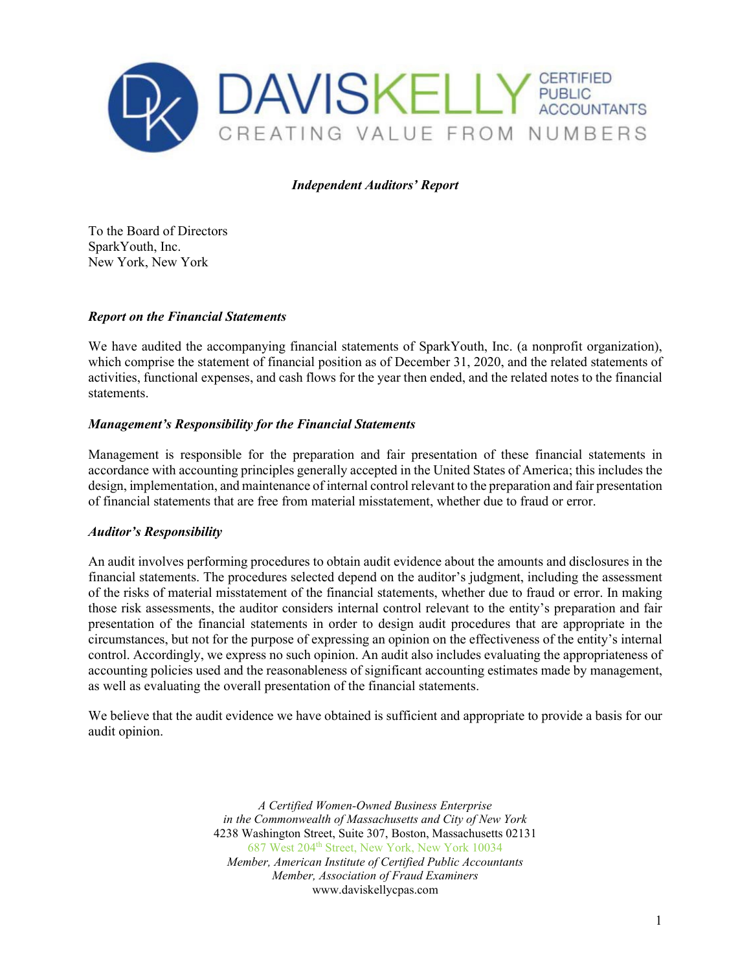

### *Independent Auditors' Report*

To the Board of Directors SparkYouth, Inc. New York, New York

#### *Report on the Financial Statements*

We have audited the accompanying financial statements of SparkYouth, Inc. (a nonprofit organization), which comprise the statement of financial position as of December 31, 2020, and the related statements of activities, functional expenses, and cash flows for the year then ended, and the related notes to the financial statements.

#### *Management's Responsibility for the Financial Statements*

Management is responsible for the preparation and fair presentation of these financial statements in accordance with accounting principles generally accepted in the United States of America; this includes the design, implementation, and maintenance of internal control relevant to the preparation and fair presentation of financial statements that are free from material misstatement, whether due to fraud or error.

#### *Auditor's Responsibility*

An audit involves performing procedures to obtain audit evidence about the amounts and disclosures in the financial statements. The procedures selected depend on the auditor's judgment, including the assessment of the risks of material misstatement of the financial statements, whether due to fraud or error. In making those risk assessments, the auditor considers internal control relevant to the entity's preparation and fair presentation of the financial statements in order to design audit procedures that are appropriate in the circumstances, but not for the purpose of expressing an opinion on the effectiveness of the entity's internal control. Accordingly, we express no such opinion. An audit also includes evaluating the appropriateness of accounting policies used and the reasonableness of significant accounting estimates made by management, as well as evaluating the overall presentation of the financial statements.

We believe that the audit evidence we have obtained is sufficient and appropriate to provide a basis for our audit opinion.

> *A Certified Women-Owned Business Enterprise in the Commonwealth of Massachusetts and City of New York* 4238 Washington Street, Suite 307, Boston, Massachusetts 02131 687 West 204th Street, New York, New York 10034 *Member, American Institute of Certified Public Accountants Member, Association of Fraud Examiners*  www.daviskellycpas.com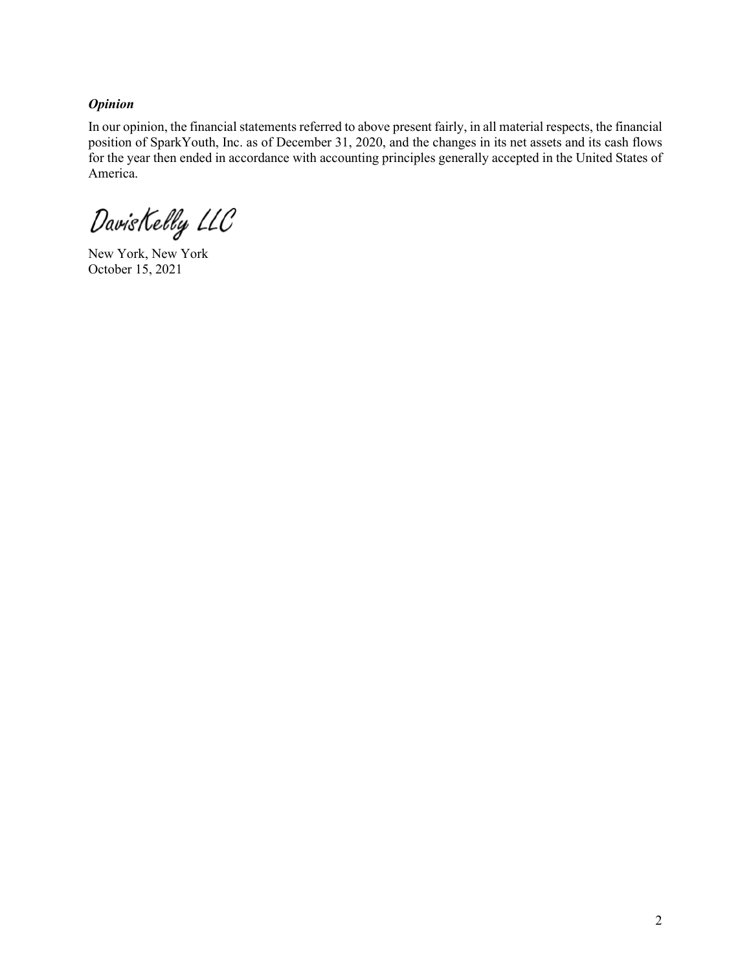## *Opinion*

In our opinion, the financial statements referred to above present fairly, in all material respects, the financial position of SparkYouth, Inc. as of December 31, 2020, and the changes in its net assets and its cash flows for the year then ended in accordance with accounting principles generally accepted in the United States of America.

DavisKelly LLC

New York, New York October 15, 2021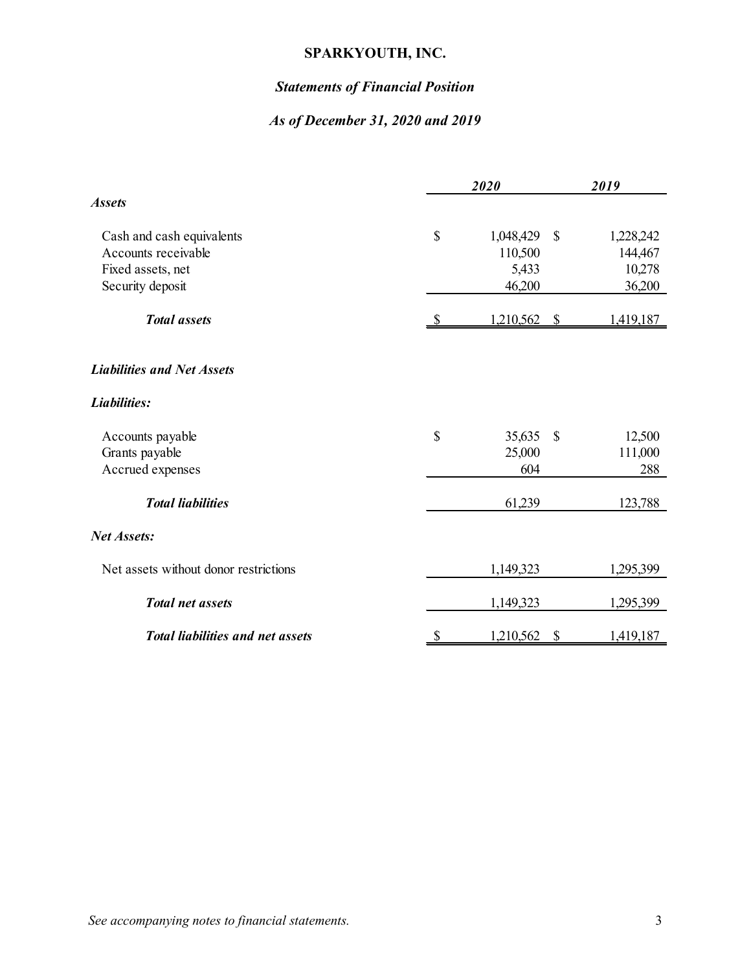# *Statements of Financial Position*

# *As of December 31, 2020 and 2019*

|                                         | 2020 |              |                           | 2019      |  |  |
|-----------------------------------------|------|--------------|---------------------------|-----------|--|--|
| <b>Assets</b>                           |      |              |                           |           |  |  |
| Cash and cash equivalents               | \$   | 1,048,429    | $\mathcal{S}$             | 1,228,242 |  |  |
| Accounts receivable                     |      | 110,500      |                           | 144,467   |  |  |
| Fixed assets, net                       |      | 5,433        |                           | 10,278    |  |  |
| Security deposit                        |      | 46,200       |                           | 36,200    |  |  |
| <b>Total</b> assets                     | S    | 1,210,562 \$ |                           | 1,419,187 |  |  |
| <b>Liabilities and Net Assets</b>       |      |              |                           |           |  |  |
| Liabilities:                            |      |              |                           |           |  |  |
| Accounts payable                        | \$   | 35,635       | $\mathcal{S}$             | 12,500    |  |  |
| Grants payable                          |      | 25,000       |                           | 111,000   |  |  |
| Accrued expenses                        |      | 604          |                           | 288       |  |  |
| <b>Total liabilities</b>                |      | 61,239       |                           | 123,788   |  |  |
| <b>Net Assets:</b>                      |      |              |                           |           |  |  |
| Net assets without donor restrictions   |      | 1,149,323    |                           | 1,295,399 |  |  |
| <b>Total net assets</b>                 |      | 1,149,323    |                           | 1,295,399 |  |  |
| <b>Total liabilities and net assets</b> | \$   | 1,210,562    | $\boldsymbol{\mathsf{S}}$ | 1,419,187 |  |  |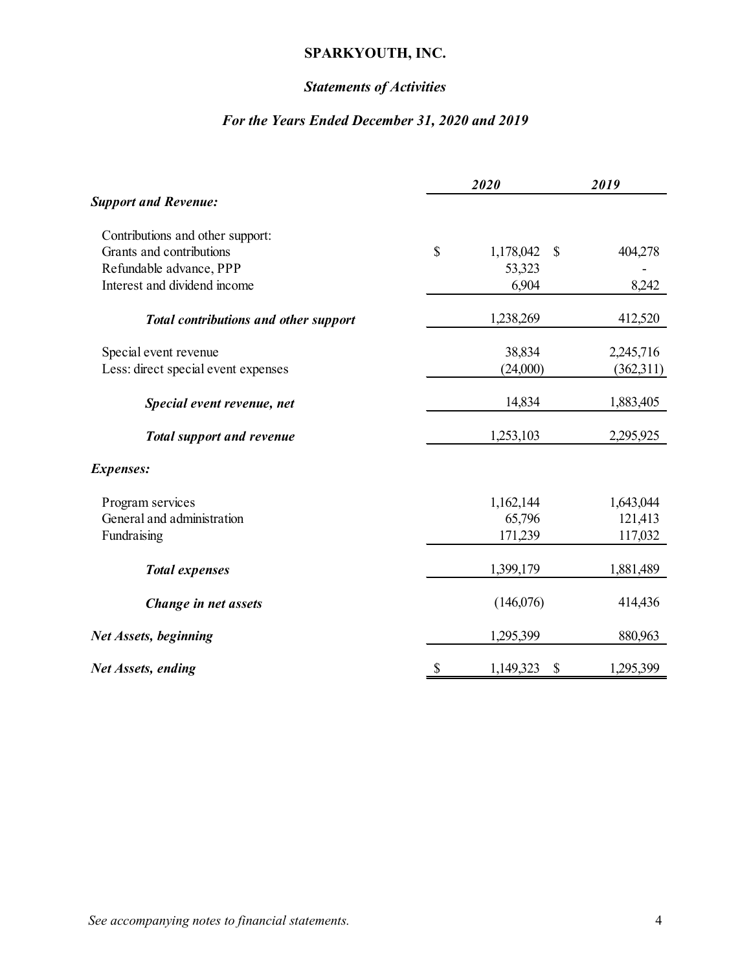# *Statements of Activities*

# *For the Years Ended December 31, 2020 and 2019*

|                                              |              | 2020                      | 2019      |
|----------------------------------------------|--------------|---------------------------|-----------|
| <b>Support and Revenue:</b>                  |              |                           |           |
| Contributions and other support:             |              |                           |           |
| Grants and contributions                     | $\mathbb{S}$ | 1,178,042<br>$\mathbb{S}$ | 404,278   |
| Refundable advance, PPP                      |              | 53,323                    |           |
| Interest and dividend income                 |              | 6,904                     | 8,242     |
| <b>Total contributions and other support</b> |              | 1,238,269                 | 412,520   |
| Special event revenue                        |              | 38,834                    | 2,245,716 |
| Less: direct special event expenses          |              | (24,000)                  | (362,311) |
| Special event revenue, net                   |              | 14,834                    | 1,883,405 |
| <b>Total support and revenue</b>             |              | 1,253,103                 | 2,295,925 |
| <b>Expenses:</b>                             |              |                           |           |
| Program services                             |              | 1,162,144                 | 1,643,044 |
| General and administration                   |              | 65,796                    | 121,413   |
| Fundraising                                  |              | 171,239                   | 117,032   |
| <b>Total expenses</b>                        |              | 1,399,179                 | 1,881,489 |
| Change in net assets                         |              | (146,076)                 | 414,436   |
| Net Assets, beginning                        |              | 1,295,399                 | 880,963   |
| Net Assets, ending                           | \$           | 1,149,323<br>\$           | 1,295,399 |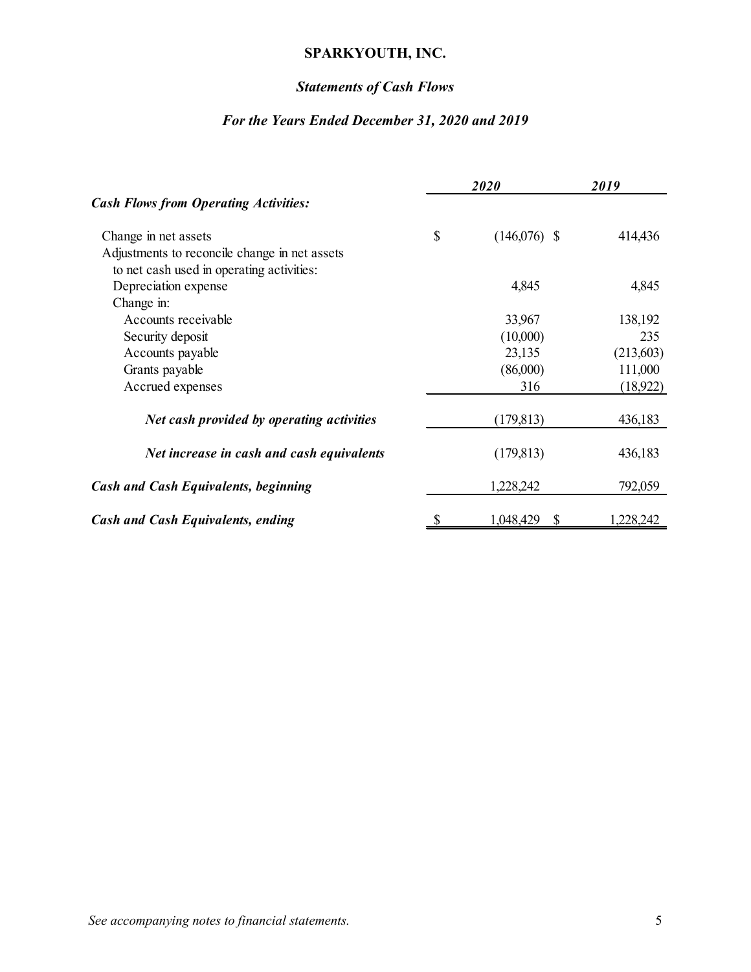# *Statements of Cash Flows*

# *For the Years Ended December 31, 2020 and 2019*

|                                               |    | 2020            | 2019      |  |  |
|-----------------------------------------------|----|-----------------|-----------|--|--|
| <b>Cash Flows from Operating Activities:</b>  |    |                 |           |  |  |
| Change in net assets                          | \$ | $(146,076)$ \$  | 414,436   |  |  |
| Adjustments to reconcile change in net assets |    |                 |           |  |  |
| to net cash used in operating activities:     |    |                 |           |  |  |
| Depreciation expense                          |    | 4,845           | 4,845     |  |  |
| Change in:                                    |    |                 |           |  |  |
| Accounts receivable                           |    | 33,967          | 138,192   |  |  |
| Security deposit                              |    | (10,000)        | 235       |  |  |
| Accounts payable                              |    | 23,135          | (213,603) |  |  |
| Grants payable                                |    | (86,000)        | 111,000   |  |  |
| Accrued expenses                              |    | 316             | (18, 922) |  |  |
| Net cash provided by operating activities     |    | (179, 813)      | 436,183   |  |  |
| Net increase in cash and cash equivalents     |    | (179, 813)      | 436,183   |  |  |
| <b>Cash and Cash Equivalents, beginning</b>   |    | 1,228,242       | 792,059   |  |  |
| <b>Cash and Cash Equivalents, ending</b>      |    | 1,048,429<br>\$ | ,228,242  |  |  |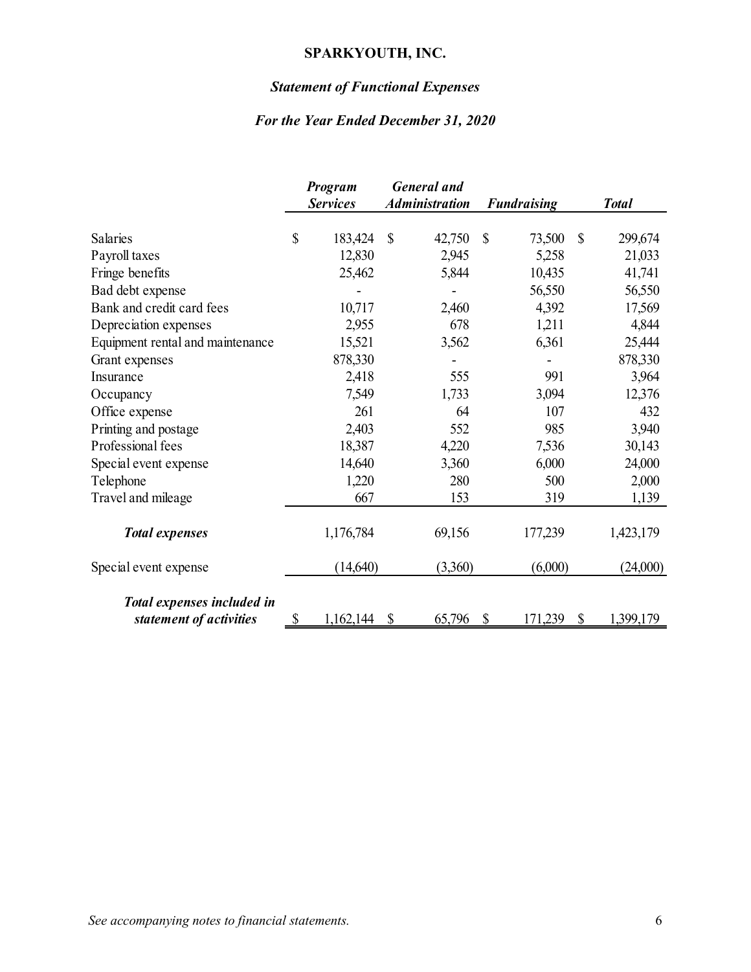# *Statement of Functional Expenses*

# *For the Year Ended December 31, 2020*

|                                                       |               | Program<br><b>Services</b> | <b>General</b> and<br><b>Administration</b> | <b>Fundraising</b> |              | <b>Total</b> |
|-------------------------------------------------------|---------------|----------------------------|---------------------------------------------|--------------------|--------------|--------------|
| Salaries                                              | $\mathcal{S}$ | 183,424                    | \$<br>42,750                                | \$<br>73,500       | $\mathbb{S}$ | 299,674      |
| Payroll taxes                                         |               | 12,830                     | 2,945                                       | 5,258              |              | 21,033       |
| Fringe benefits                                       |               | 25,462                     | 5,844                                       | 10,435             |              | 41,741       |
| Bad debt expense                                      |               |                            |                                             | 56,550             |              | 56,550       |
| Bank and credit card fees                             |               | 10,717                     | 2,460                                       | 4,392              |              | 17,569       |
| Depreciation expenses                                 |               | 2,955                      | 678                                         | 1,211              |              | 4,844        |
| Equipment rental and maintenance                      |               | 15,521                     | 3,562                                       | 6,361              |              | 25,444       |
| Grant expenses                                        |               | 878,330                    |                                             |                    |              | 878,330      |
| Insurance                                             |               | 2,418                      | 555                                         | 991                |              | 3,964        |
| Occupancy                                             |               | 7,549                      | 1,733                                       | 3,094              |              | 12,376       |
| Office expense                                        |               | 261                        | 64                                          | 107                |              | 432          |
| Printing and postage                                  |               | 2,403                      | 552                                         | 985                |              | 3,940        |
| Professional fees                                     |               | 18,387                     | 4,220                                       | 7,536              |              | 30,143       |
| Special event expense                                 |               | 14,640                     | 3,360                                       | 6,000              |              | 24,000       |
| Telephone                                             |               | 1,220                      | 280                                         | 500                |              | 2,000        |
| Travel and mileage                                    |               | 667                        | 153                                         | 319                |              | 1,139        |
| <b>Total expenses</b>                                 |               | 1,176,784                  | 69,156                                      | 177,239            |              | 1,423,179    |
| Special event expense                                 |               | (14,640)                   | (3,360)                                     | (6,000)            |              | (24,000)     |
| Total expenses included in<br>statement of activities | \$            | 1,162,144                  | \$<br>65,796                                | \$<br>171,239      | \$           | 1,399,179    |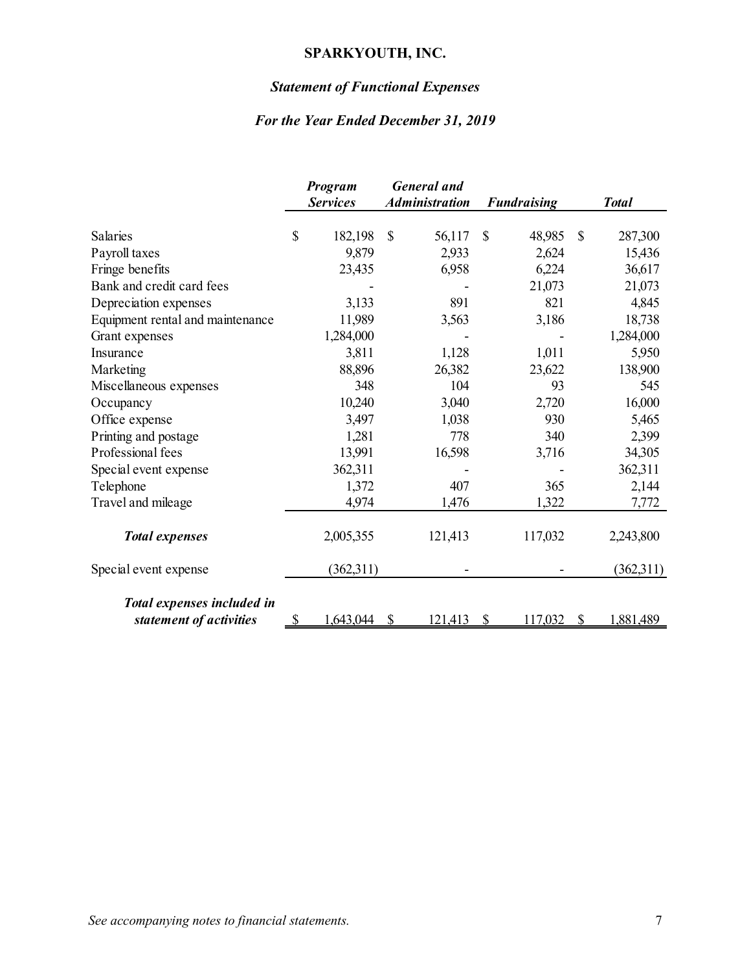# *Statement of Functional Expenses*

# *For the Year Ended December 31, 2019*

|                                  |              | Program<br><b>Services</b> |               | <b>General</b> and<br><b>Administration</b> |               | <b>Fundraising</b> |               | <b>Total</b> |
|----------------------------------|--------------|----------------------------|---------------|---------------------------------------------|---------------|--------------------|---------------|--------------|
| Salaries                         | \$           | 182,198                    | \$            | 56,117                                      | $\mathcal{S}$ | 48,985             | $\mathcal{S}$ | 287,300      |
| Payroll taxes                    |              | 9,879                      |               | 2,933                                       |               | 2,624              |               | 15,436       |
| Fringe benefits                  |              | 23,435                     |               | 6,958                                       |               | 6,224              |               | 36,617       |
| Bank and credit card fees        |              |                            |               |                                             |               | 21,073             |               | 21,073       |
| Depreciation expenses            |              | 3,133                      |               | 891                                         |               | 821                |               | 4,845        |
| Equipment rental and maintenance |              | 11,989                     |               | 3,563                                       |               | 3,186              |               | 18,738       |
| Grant expenses                   |              | 1,284,000                  |               |                                             |               |                    |               | 1,284,000    |
| Insurance                        |              | 3,811                      |               | 1,128                                       |               | 1,011              |               | 5,950        |
| Marketing                        |              | 88,896                     |               | 26,382                                      |               | 23,622             |               | 138,900      |
| Miscellaneous expenses           |              | 348                        |               | 104                                         |               | 93                 |               | 545          |
| Occupancy                        |              | 10,240                     |               | 3,040                                       |               | 2,720              |               | 16,000       |
| Office expense                   |              | 3,497                      |               | 1,038                                       |               | 930                |               | 5,465        |
| Printing and postage             |              | 1,281                      |               | 778                                         |               | 340                |               | 2,399        |
| Professional fees                |              | 13,991                     |               | 16,598                                      |               | 3,716              |               | 34,305       |
| Special event expense            |              | 362,311                    |               |                                             |               |                    |               | 362,311      |
| Telephone                        |              | 1,372                      |               | 407                                         |               | 365                |               | 2,144        |
| Travel and mileage               |              | 4,974                      |               | 1,476                                       |               | 1,322              |               | 7,772        |
| <b>Total expenses</b>            |              | 2,005,355                  |               | 121,413                                     |               | 117,032            |               | 2,243,800    |
| Special event expense            |              | (362,311)                  |               |                                             |               |                    |               | (362,311)    |
| Total expenses included in       |              |                            |               |                                             |               |                    |               |              |
| statement of activities          | $\mathbb{S}$ | 1,643,044                  | $\mathcal{S}$ | 121,413                                     | $\mathcal{S}$ | 117,032            | $\mathcal{S}$ | 1,881,489    |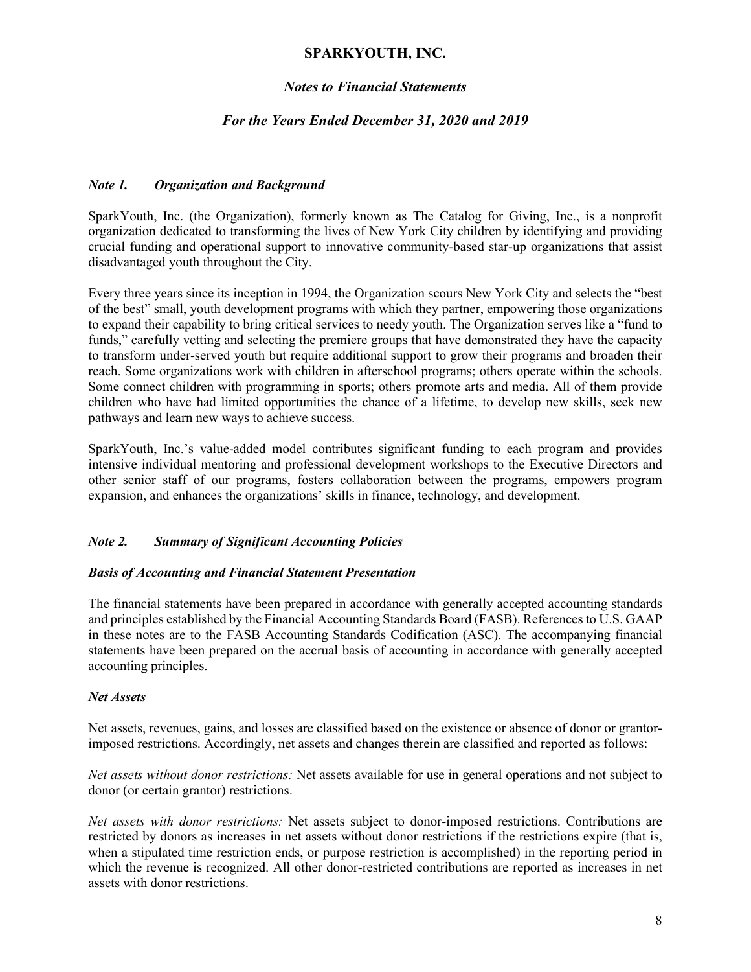## *Notes to Financial Statements*

### *For the Years Ended December 31, 2020 and 2019*

### *Note 1. Organization and Background*

SparkYouth, Inc. (the Organization), formerly known as The Catalog for Giving, Inc., is a nonprofit organization dedicated to transforming the lives of New York City children by identifying and providing crucial funding and operational support to innovative community-based star-up organizations that assist disadvantaged youth throughout the City.

Every three years since its inception in 1994, the Organization scours New York City and selects the "best of the best" small, youth development programs with which they partner, empowering those organizations to expand their capability to bring critical services to needy youth. The Organization serves like a "fund to funds," carefully vetting and selecting the premiere groups that have demonstrated they have the capacity to transform under-served youth but require additional support to grow their programs and broaden their reach. Some organizations work with children in afterschool programs; others operate within the schools. Some connect children with programming in sports; others promote arts and media. All of them provide children who have had limited opportunities the chance of a lifetime, to develop new skills, seek new pathways and learn new ways to achieve success.

SparkYouth, Inc.'s value-added model contributes significant funding to each program and provides intensive individual mentoring and professional development workshops to the Executive Directors and other senior staff of our programs, fosters collaboration between the programs, empowers program expansion, and enhances the organizations' skills in finance, technology, and development.

### *Note 2. Summary of Significant Accounting Policies*

#### *Basis of Accounting and Financial Statement Presentation*

The financial statements have been prepared in accordance with generally accepted accounting standards and principles established by the Financial Accounting Standards Board (FASB). References to U.S. GAAP in these notes are to the FASB Accounting Standards Codification (ASC). The accompanying financial statements have been prepared on the accrual basis of accounting in accordance with generally accepted accounting principles.

#### *Net Assets*

Net assets, revenues, gains, and losses are classified based on the existence or absence of donor or grantorimposed restrictions. Accordingly, net assets and changes therein are classified and reported as follows:

*Net assets without donor restrictions:* Net assets available for use in general operations and not subject to donor (or certain grantor) restrictions.

*Net assets with donor restrictions:* Net assets subject to donor-imposed restrictions. Contributions are restricted by donors as increases in net assets without donor restrictions if the restrictions expire (that is, when a stipulated time restriction ends, or purpose restriction is accomplished) in the reporting period in which the revenue is recognized. All other donor-restricted contributions are reported as increases in net assets with donor restrictions.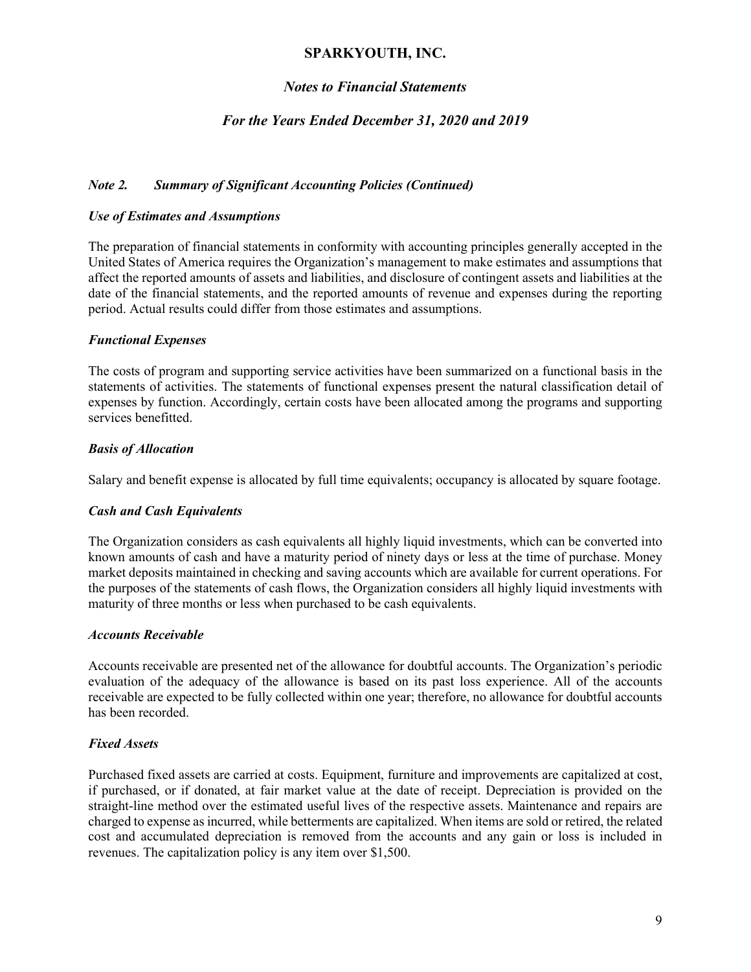## *Notes to Financial Statements*

## *For the Years Ended December 31, 2020 and 2019*

### *Note 2. Summary of Significant Accounting Policies (Continued)*

#### *Use of Estimates and Assumptions*

The preparation of financial statements in conformity with accounting principles generally accepted in the United States of America requires the Organization's management to make estimates and assumptions that affect the reported amounts of assets and liabilities, and disclosure of contingent assets and liabilities at the date of the financial statements, and the reported amounts of revenue and expenses during the reporting period. Actual results could differ from those estimates and assumptions.

#### *Functional Expenses*

The costs of program and supporting service activities have been summarized on a functional basis in the statements of activities. The statements of functional expenses present the natural classification detail of expenses by function. Accordingly, certain costs have been allocated among the programs and supporting services benefitted.

#### *Basis of Allocation*

Salary and benefit expense is allocated by full time equivalents; occupancy is allocated by square footage.

#### *Cash and Cash Equivalents*

The Organization considers as cash equivalents all highly liquid investments, which can be converted into known amounts of cash and have a maturity period of ninety days or less at the time of purchase. Money market deposits maintained in checking and saving accounts which are available for current operations. For the purposes of the statements of cash flows, the Organization considers all highly liquid investments with maturity of three months or less when purchased to be cash equivalents.

#### *Accounts Receivable*

Accounts receivable are presented net of the allowance for doubtful accounts. The Organization's periodic evaluation of the adequacy of the allowance is based on its past loss experience. All of the accounts receivable are expected to be fully collected within one year; therefore, no allowance for doubtful accounts has been recorded.

#### *Fixed Assets*

Purchased fixed assets are carried at costs. Equipment, furniture and improvements are capitalized at cost, if purchased, or if donated, at fair market value at the date of receipt. Depreciation is provided on the straight-line method over the estimated useful lives of the respective assets. Maintenance and repairs are charged to expense as incurred, while betterments are capitalized. When items are sold or retired, the related cost and accumulated depreciation is removed from the accounts and any gain or loss is included in revenues. The capitalization policy is any item over \$1,500.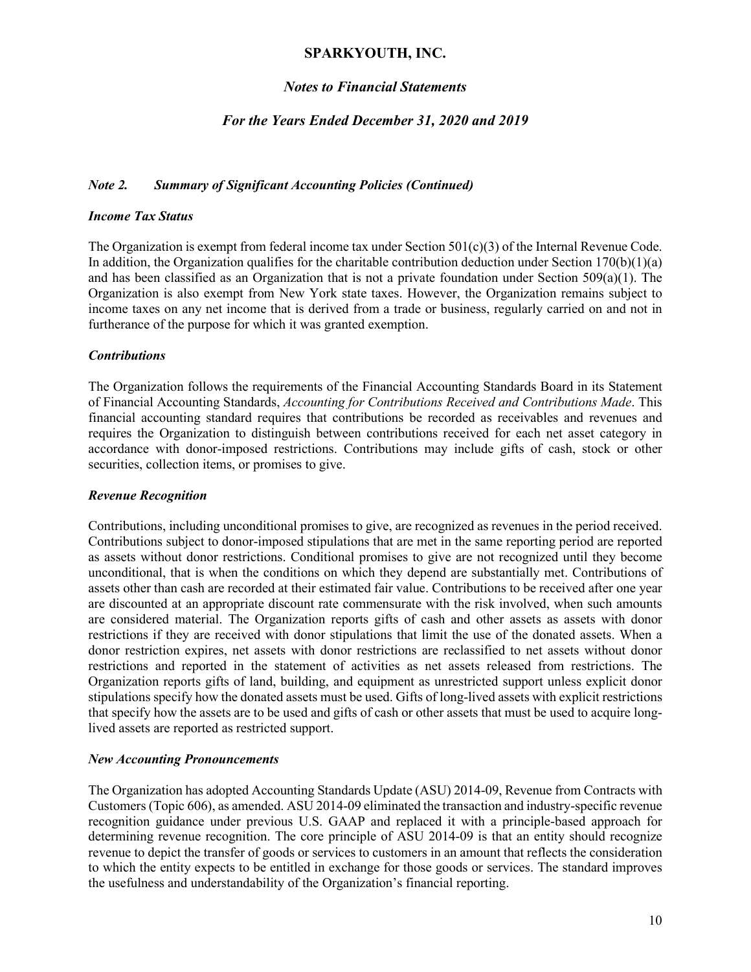### *Notes to Financial Statements*

### *For the Years Ended December 31, 2020 and 2019*

#### *Note 2. Summary of Significant Accounting Policies (Continued)*

#### *Income Tax Status*

The Organization is exempt from federal income tax under Section  $501(c)(3)$  of the Internal Revenue Code. In addition, the Organization qualifies for the charitable contribution deduction under Section  $170(b)(1)(a)$ and has been classified as an Organization that is not a private foundation under Section 509(a)(1). The Organization is also exempt from New York state taxes. However, the Organization remains subject to income taxes on any net income that is derived from a trade or business, regularly carried on and not in furtherance of the purpose for which it was granted exemption.

#### *Contributions*

The Organization follows the requirements of the Financial Accounting Standards Board in its Statement of Financial Accounting Standards, *Accounting for Contributions Received and Contributions Made*. This financial accounting standard requires that contributions be recorded as receivables and revenues and requires the Organization to distinguish between contributions received for each net asset category in accordance with donor-imposed restrictions. Contributions may include gifts of cash, stock or other securities, collection items, or promises to give.

#### *Revenue Recognition*

Contributions, including unconditional promises to give, are recognized as revenues in the period received. Contributions subject to donor-imposed stipulations that are met in the same reporting period are reported as assets without donor restrictions. Conditional promises to give are not recognized until they become unconditional, that is when the conditions on which they depend are substantially met. Contributions of assets other than cash are recorded at their estimated fair value. Contributions to be received after one year are discounted at an appropriate discount rate commensurate with the risk involved, when such amounts are considered material. The Organization reports gifts of cash and other assets as assets with donor restrictions if they are received with donor stipulations that limit the use of the donated assets. When a donor restriction expires, net assets with donor restrictions are reclassified to net assets without donor restrictions and reported in the statement of activities as net assets released from restrictions. The Organization reports gifts of land, building, and equipment as unrestricted support unless explicit donor stipulations specify how the donated assets must be used. Gifts of long-lived assets with explicit restrictions that specify how the assets are to be used and gifts of cash or other assets that must be used to acquire longlived assets are reported as restricted support.

#### *New Accounting Pronouncements*

The Organization has adopted Accounting Standards Update (ASU) 2014-09, Revenue from Contracts with Customers (Topic 606), as amended. ASU 2014-09 eliminated the transaction and industry-specific revenue recognition guidance under previous U.S. GAAP and replaced it with a principle-based approach for determining revenue recognition. The core principle of ASU 2014-09 is that an entity should recognize revenue to depict the transfer of goods or services to customers in an amount that reflects the consideration to which the entity expects to be entitled in exchange for those goods or services. The standard improves the usefulness and understandability of the Organization's financial reporting.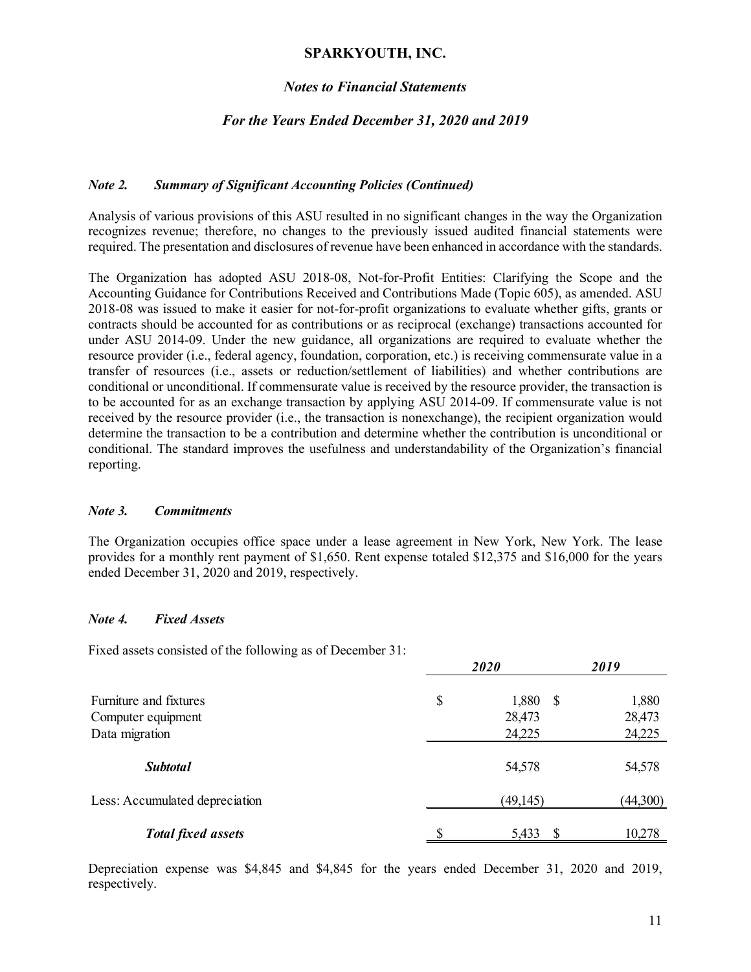### *Notes to Financial Statements*

## *For the Years Ended December 31, 2020 and 2019*

### *Note 2. Summary of Significant Accounting Policies (Continued)*

Analysis of various provisions of this ASU resulted in no significant changes in the way the Organization recognizes revenue; therefore, no changes to the previously issued audited financial statements were required. The presentation and disclosures of revenue have been enhanced in accordance with the standards.

The Organization has adopted ASU 2018-08, Not-for-Profit Entities: Clarifying the Scope and the Accounting Guidance for Contributions Received and Contributions Made (Topic 605), as amended. ASU 2018-08 was issued to make it easier for not-for-profit organizations to evaluate whether gifts, grants or contracts should be accounted for as contributions or as reciprocal (exchange) transactions accounted for under ASU 2014-09. Under the new guidance, all organizations are required to evaluate whether the resource provider (i.e., federal agency, foundation, corporation, etc.) is receiving commensurate value in a transfer of resources (i.e., assets or reduction/settlement of liabilities) and whether contributions are conditional or unconditional. If commensurate value is received by the resource provider, the transaction is to be accounted for as an exchange transaction by applying ASU 2014-09. If commensurate value is not received by the resource provider (i.e., the transaction is nonexchange), the recipient organization would determine the transaction to be a contribution and determine whether the contribution is unconditional or conditional. The standard improves the usefulness and understandability of the Organization's financial reporting.

#### *Note 3. Commitments*

The Organization occupies office space under a lease agreement in New York, New York. The lease provides for a monthly rent payment of \$1,650. Rent expense totaled \$12,375 and \$16,000 for the years ended December 31, 2020 and 2019, respectively.

#### *Note 4. Fixed Assets*

Fixed assets consisted of the following as of December 31:

|                                | 2020             |          |  |  |
|--------------------------------|------------------|----------|--|--|
| Furniture and fixtures         | \$<br>1,880<br>S | 1,880    |  |  |
| Computer equipment             | 28,473           | 28,473   |  |  |
| Data migration                 | 24,225           | 24,225   |  |  |
| <b>Subtotal</b>                | 54,578           | 54,578   |  |  |
| Less: Accumulated depreciation | (49, 145)        | (44,300) |  |  |
| <b>Total fixed assets</b>      | 5,433            | 10,278   |  |  |

Depreciation expense was \$4,845 and \$4,845 for the years ended December 31, 2020 and 2019, respectively.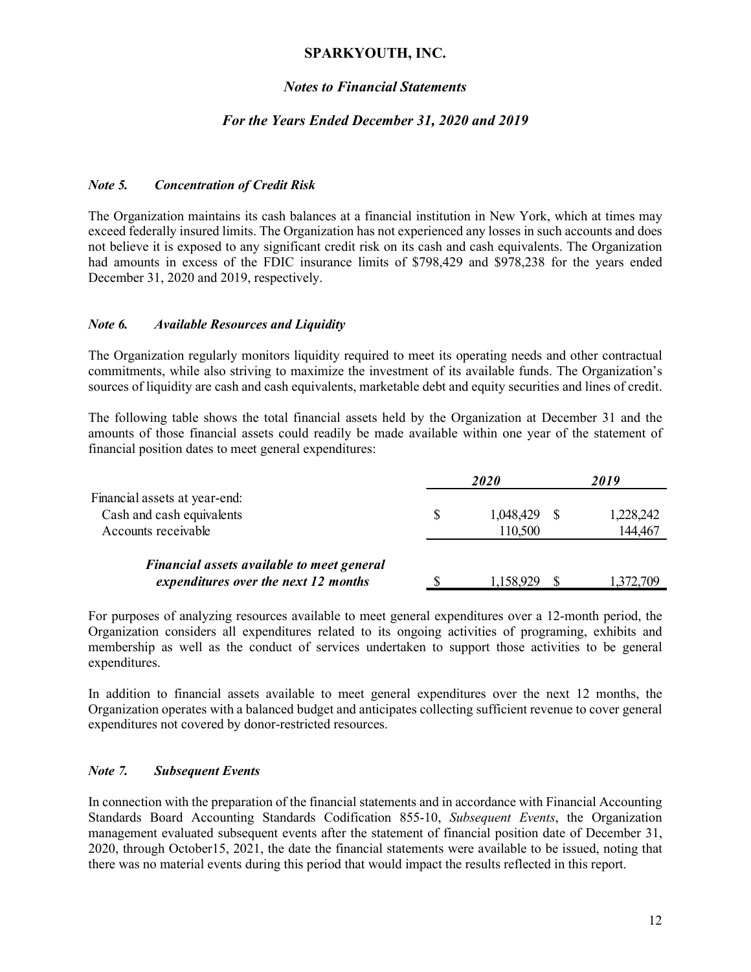#### *Notes to Financial Statements*

#### *For the Years Ended December 31, 2020 and 2019*

#### *Note 5. Concentration of Credit Risk*

The Organization maintains its cash balances at a financial institution in New York, which at times may exceed federally insured limits. The Organization has not experienced any losses in such accounts and does not believe it is exposed to any significant credit risk on its cash and cash equivalents. The Organization had amounts in excess of the FDIC insurance limits of \$798,429 and \$978,238 for the years ended December 31, 2020 and 2019, respectively.

#### *Note 6. Available Resources and Liquidity*

The Organization regularly monitors liquidity required to meet its operating needs and other contractual commitments, while also striving to maximize the investment of its available funds. The Organization's sources of liquidity are cash and cash equivalents, marketable debt and equity securities and lines of credit.

The following table shows the total financial assets held by the Organization at December 31 and the amounts of those financial assets could readily be made available within one year of the statement of financial position dates to meet general expenditures:

|                                                                                    | <b>2020</b>          | 2019                 |  |
|------------------------------------------------------------------------------------|----------------------|----------------------|--|
| Financial assets at year-end:<br>Cash and cash equivalents<br>Accounts receivable  | 1,048,429<br>110,500 | 1,228,242<br>144,467 |  |
| Financial assets available to meet general<br>expenditures over the next 12 months | 1,158,929            | 1,372,709            |  |

For purposes of analyzing resources available to meet general expenditures over a 12-month period, the Organization considers all expenditures related to its ongoing activities of programing, exhibits and membership as well as the conduct of services undertaken to support those activities to be general expenditures.

In addition to financial assets available to meet general expenditures over the next 12 months, the Organization operates with a balanced budget and anticipates collecting sufficient revenue to cover general expenditures not covered by donor-restricted resources.

#### *Note 7. Subsequent Events*

In connection with the preparation of the financial statements and in accordance with Financial Accounting Standards Board Accounting Standards Codification 855-10, *Subsequent Events*, the Organization management evaluated subsequent events after the statement of financial position date of December 31, 2020, through October15, 2021, the date the financial statements were available to be issued, noting that there was no material events during this period that would impact the results reflected in this report.